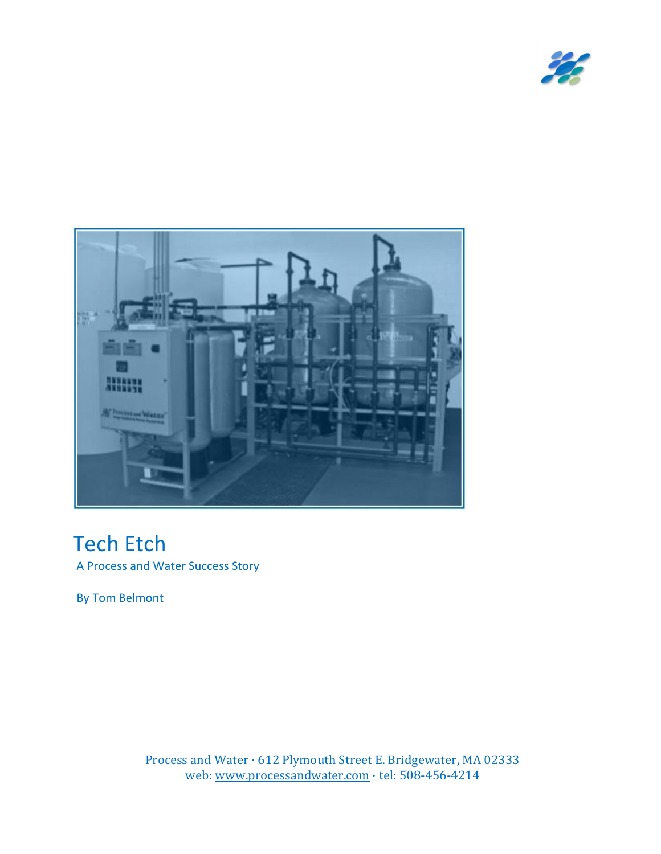



# Tech Etch

A Process and Water Success Story

By Tom Belmont

Process and Water · 612 Plymouth Street E. Bridgewater, MA 02333 web: [www.processandwater.com](http://www.processandwater.com/) · tel: 508-456-4214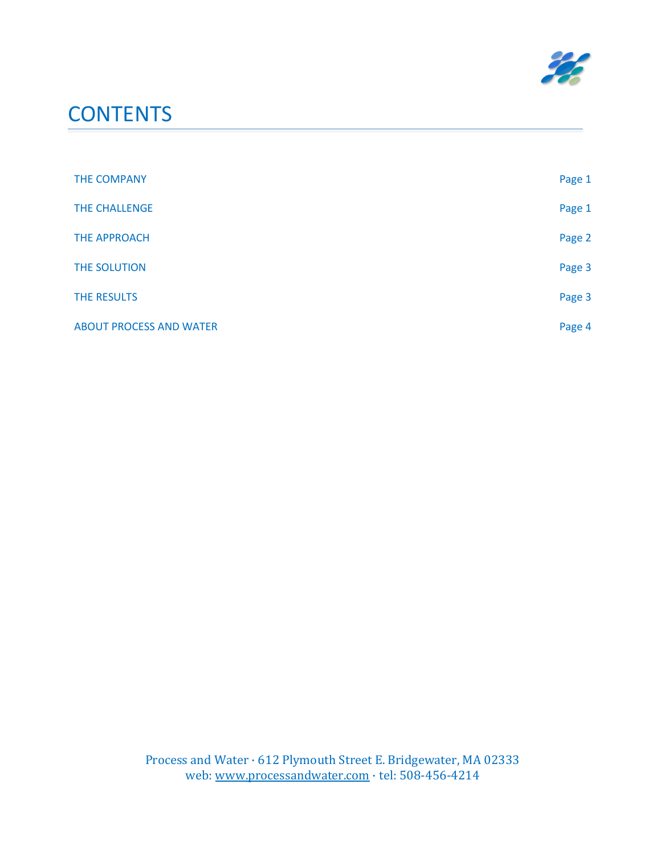

## **CONTENTS**

| THE COMPANY                    | Page 1 |
|--------------------------------|--------|
| THE CHALLENGE                  | Page 1 |
| <b>THE APPROACH</b>            | Page 2 |
| THE SOLUTION                   | Page 3 |
| THE RESULTS                    | Page 3 |
| <b>ABOUT PROCESS AND WATER</b> | Page 4 |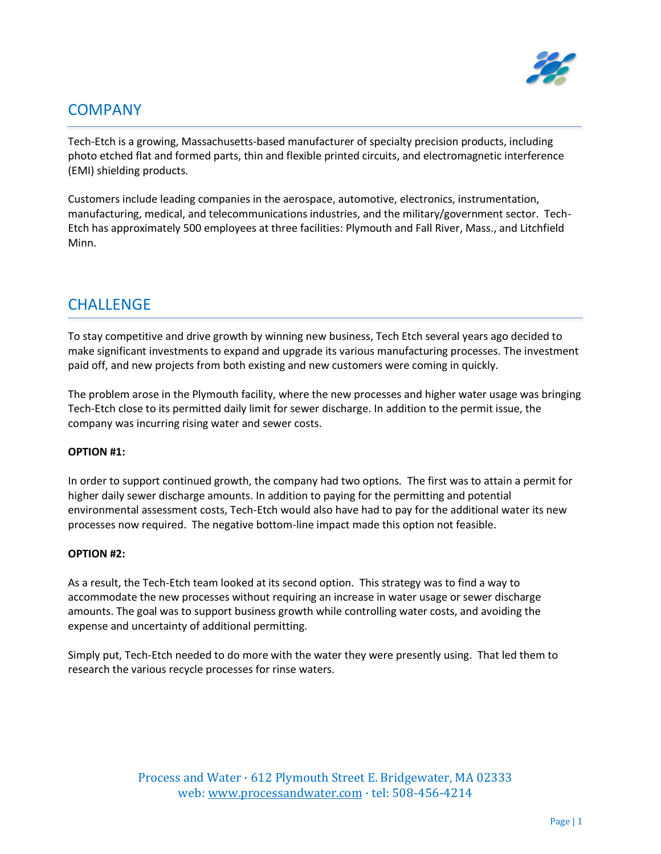

## **COMPANY**

Tech-Etch is a growing, Massachusetts-based manufacturer of specialty precision products, including photo etched flat and formed parts, thin and flexible printed circuits, and electromagnetic interference (EMI) shielding products.

Customers include leading companies in the aerospace, automotive, electronics, instrumentation, manufacturing, medical, and telecommunications industries, and the military/government sector. Tech-Etch has approximately 500 employees at three facilities: Plymouth and Fall River, Mass., and Litchfield Minn.

#### **CHALLENGE**

To stay competitive and drive growth by winning new business, Tech Etch several years ago decided to make significant investments to expand and upgrade its various manufacturing processes. The investment paid off, and new projects from both existing and new customers were coming in quickly.

The problem arose in the Plymouth facility, where the new processes and higher water usage was bringing Tech-Etch close to its permitted daily limit for sewer discharge. In addition to the permit issue, the company was incurring rising water and sewer costs.

#### **OPTION #1:**

In order to support continued growth, the company had two options. The first was to attain a permit for higher daily sewer discharge amounts. In addition to paying for the permitting and potential environmental assessment costs, Tech-Etch would also have had to pay for the additional water its new processes now required. The negative bottom-line impact made this option not feasible.

#### **OPTION #2:**

As a result, the Tech-Etch team looked at its second option. This strategy was to find a way to accommodate the new processes without requiring an increase in water usage or sewer discharge amounts. The goal was to support business growth while controlling water costs, and avoiding the expense and uncertainty of additional permitting.

Simply put, Tech-Etch needed to do more with the water they were presently using. That led them to research the various recycle processes for rinse waters.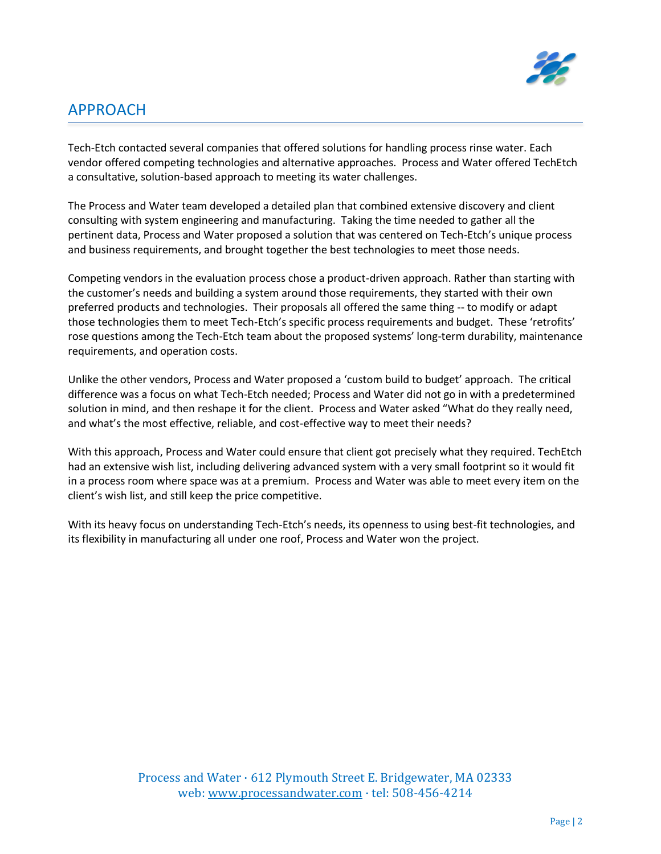

## APPROACH

Tech-Etch contacted several companies that offered solutions for handling process rinse water. Each vendor offered competing technologies and alternative approaches. Process and Water offered TechEtch a consultative, solution-based approach to meeting its water challenges.

The Process and Water team developed a detailed plan that combined extensive discovery and client consulting with system engineering and manufacturing. Taking the time needed to gather all the pertinent data, Process and Water proposed a solution that was centered on Tech-Etch's unique process and business requirements, and brought together the best technologies to meet those needs.

Competing vendors in the evaluation process chose a product-driven approach. Rather than starting with the customer's needs and building a system around those requirements, they started with their own preferred products and technologies. Their proposals all offered the same thing -- to modify or adapt those technologies them to meet Tech-Etch's specific process requirements and budget. These 'retrofits' rose questions among the Tech-Etch team about the proposed systems' long-term durability, maintenance requirements, and operation costs.

Unlike the other vendors, Process and Water proposed a 'custom build to budget' approach. The critical difference was a focus on what Tech-Etch needed; Process and Water did not go in with a predetermined solution in mind, and then reshape it for the client. Process and Water asked "What do they really need, and what's the most effective, reliable, and cost-effective way to meet their needs?

With this approach, Process and Water could ensure that client got precisely what they required. TechEtch had an extensive wish list, including delivering advanced system with a very small footprint so it would fit in a process room where space was at a premium. Process and Water was able to meet every item on the client's wish list, and still keep the price competitive.

With its heavy focus on understanding Tech-Etch's needs, its openness to using best-fit technologies, and its flexibility in manufacturing all under one roof, Process and Water won the project.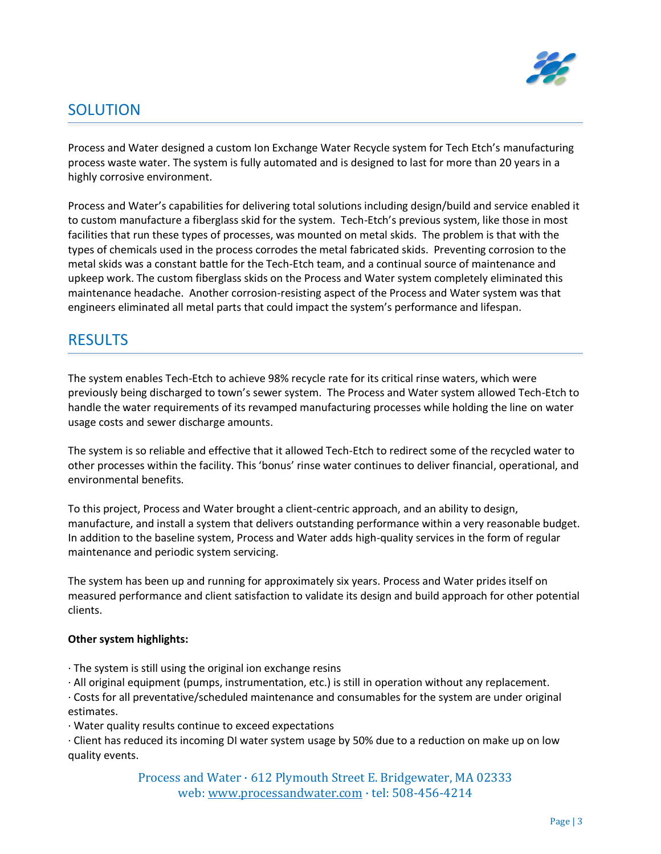

## SOLUTION

Process and Water designed a custom Ion Exchange Water Recycle system for Tech Etch's manufacturing process waste water. The system is fully automated and is designed to last for more than 20 years in a highly corrosive environment.

Process and Water's capabilities for delivering total solutions including design/build and service enabled it to custom manufacture a fiberglass skid for the system. Tech-Etch's previous system, like those in most facilities that run these types of processes, was mounted on metal skids. The problem is that with the types of chemicals used in the process corrodes the metal fabricated skids. Preventing corrosion to the metal skids was a constant battle for the Tech-Etch team, and a continual source of maintenance and upkeep work. The custom fiberglass skids on the Process and Water system completely eliminated this maintenance headache. Another corrosion-resisting aspect of the Process and Water system was that engineers eliminated all metal parts that could impact the system's performance and lifespan.

#### **RESULTS**

The system enables Tech-Etch to achieve 98% recycle rate for its critical rinse waters, which were previously being discharged to town's sewer system. The Process and Water system allowed Tech-Etch to handle the water requirements of its revamped manufacturing processes while holding the line on water usage costs and sewer discharge amounts.

The system is so reliable and effective that it allowed Tech-Etch to redirect some of the recycled water to other processes within the facility. This 'bonus' rinse water continues to deliver financial, operational, and environmental benefits.

To this project, Process and Water brought a client-centric approach, and an ability to design, manufacture, and install a system that delivers outstanding performance within a very reasonable budget. In addition to the baseline system, Process and Water adds high-quality services in the form of regular maintenance and periodic system servicing.

The system has been up and running for approximately six years. Process and Water prides itself on measured performance and client satisfaction to validate its design and build approach for other potential clients.

#### **Other system highlights:**

- · The system is still using the original ion exchange resins
- · All original equipment (pumps, instrumentation, etc.) is still in operation without any replacement.

· Costs for all preventative/scheduled maintenance and consumables for the system are under original estimates.

· Water quality results continue to exceed expectations

· Client has reduced its incoming DI water system usage by 50% due to a reduction on make up on low quality events.

> Process and Water · 612 Plymouth Street E. Bridgewater, MA 02333 web[: www.processandwater.com](http://www.processandwater.com/) · tel: 508-456-4214